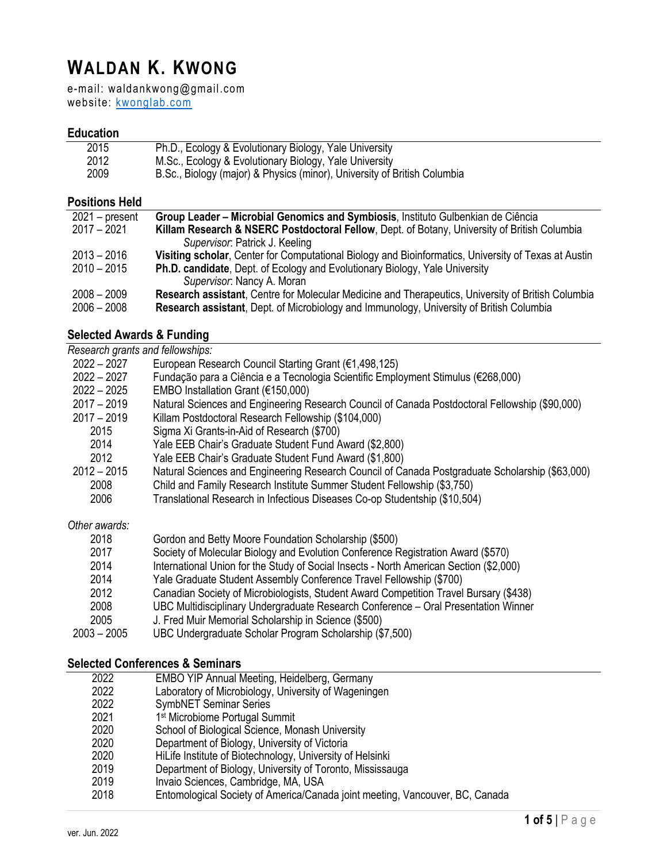# **WALDAN K. KWONG**

e-mail: waldankwong@gmail.com website: kwonglab.com

#### **Education**

| 2015 | Ph.D., Ecology & Evolutionary Biology, Yale University                   |
|------|--------------------------------------------------------------------------|
| 2012 | M.Sc., Ecology & Evolutionary Biology, Yale University                   |
| 2009 | B.Sc., Biology (major) & Physics (minor), University of British Columbia |

#### **Positions Held**

| Killam Research & NSERC Postdoctoral Fellow, Dept. of Botany, University of British Columbia         |
|------------------------------------------------------------------------------------------------------|
|                                                                                                      |
| Visiting scholar, Center for Computational Biology and Bioinformatics, University of Texas at Austin |
|                                                                                                      |
|                                                                                                      |
| Research assistant, Centre for Molecular Medicine and Therapeutics, University of British Columbia   |
|                                                                                                      |
|                                                                                                      |

#### **Selected Awards & Funding**

| Research grants and fellowships: |                                                                                                                                                                                                                                                                                                                                                             |
|----------------------------------|-------------------------------------------------------------------------------------------------------------------------------------------------------------------------------------------------------------------------------------------------------------------------------------------------------------------------------------------------------------|
| $2022 - 2027$                    | European Research Council Starting Grant (€1,498,125)                                                                                                                                                                                                                                                                                                       |
| $2022 - 2027$                    | Fundação para a Ciência e a Tecnologia Scientific Employment Stimulus (€268,000)                                                                                                                                                                                                                                                                            |
| $2022 - 2025$                    | EMBO Installation Grant ( $€150,000$ )                                                                                                                                                                                                                                                                                                                      |
| $2017 - 2019$                    | Natural Sciences and Engineering Research Council of Canada Postdoctoral Fellowship (\$90,000)                                                                                                                                                                                                                                                              |
| $2017 - 2019$                    | Killam Postdoctoral Research Fellowship (\$104,000)                                                                                                                                                                                                                                                                                                         |
| 2015                             | Sigma Xi Grants-in-Aid of Research (\$700)                                                                                                                                                                                                                                                                                                                  |
| 2014                             | Yale EEB Chair's Graduate Student Fund Award (\$2,800)                                                                                                                                                                                                                                                                                                      |
| 2012                             | Yale EEB Chair's Graduate Student Fund Award (\$1,800)                                                                                                                                                                                                                                                                                                      |
| $2012 - 2015$                    | Natural Sciences and Engineering Research Council of Canada Postgraduate Scholarship (\$63,000)                                                                                                                                                                                                                                                             |
| 2008                             | Child and Family Research Institute Summer Student Fellowship (\$3,750)                                                                                                                                                                                                                                                                                     |
| 2006                             | Translational Research in Infectious Diseases Co-op Studentship (\$10,504)                                                                                                                                                                                                                                                                                  |
| Other awards:                    |                                                                                                                                                                                                                                                                                                                                                             |
| 2018                             | Gordon and Betty Moore Foundation Scholarship (\$500)                                                                                                                                                                                                                                                                                                       |
| 2017                             | Society of Molecular Biology and Evolution Conference Registration Award (\$570)                                                                                                                                                                                                                                                                            |
| 2014                             | International Union for the Study of Social Insects - North American Section (\$2,000)                                                                                                                                                                                                                                                                      |
| 2014                             | Yale Graduate Student Assembly Conference Travel Fellowship (\$700)                                                                                                                                                                                                                                                                                         |
|                                  | $\mathcal{L}$ $\mathcal{L}$ $\mathcal{L}$ $\mathcal{L}$ $\mathcal{L}$ $\mathcal{L}$ $\mathcal{L}$ $\mathcal{L}$ $\mathcal{L}$ $\mathcal{L}$ $\mathcal{L}$ $\mathcal{L}$ $\mathcal{L}$ $\mathcal{L}$ $\mathcal{L}$ $\mathcal{L}$ $\mathcal{L}$ $\mathcal{L}$ $\mathcal{L}$ $\mathcal{L}$ $\mathcal{L}$ $\mathcal{L}$ $\mathcal{L}$ $\mathcal{L}$ $\mathcal{$ |

- 2012 Canadian Society of Microbiologists, Student Award Competition Travel Bursary (\$438)
- UBC Multidisciplinary Undergraduate Research Conference Oral Presentation Winner
- 2005 J. Fred Muir Memorial Scholarship in Science (\$500)
- 2003 2005 UBC Undergraduate Scholar Program Scholarship (\$7,500)

## **Selected Conferences & Seminars**

| 2022 | <b>EMBO YIP Annual Meeting, Heidelberg, Germany</b>                          |
|------|------------------------------------------------------------------------------|
| 2022 | Laboratory of Microbiology, University of Wageningen                         |
| 2022 | <b>SymbNET Seminar Series</b>                                                |
| 2021 | 1 <sup>st</sup> Microbiome Portugal Summit                                   |
| 2020 | School of Biological Science, Monash University                              |
| 2020 | Department of Biology, University of Victoria                                |
| 2020 | HiLife Institute of Biotechnology, University of Helsinki                    |
| 2019 | Department of Biology, University of Toronto, Mississauga                    |
| 2019 | Invaio Sciences, Cambridge, MA, USA                                          |
| 2018 | Entomological Society of America/Canada joint meeting, Vancouver, BC, Canada |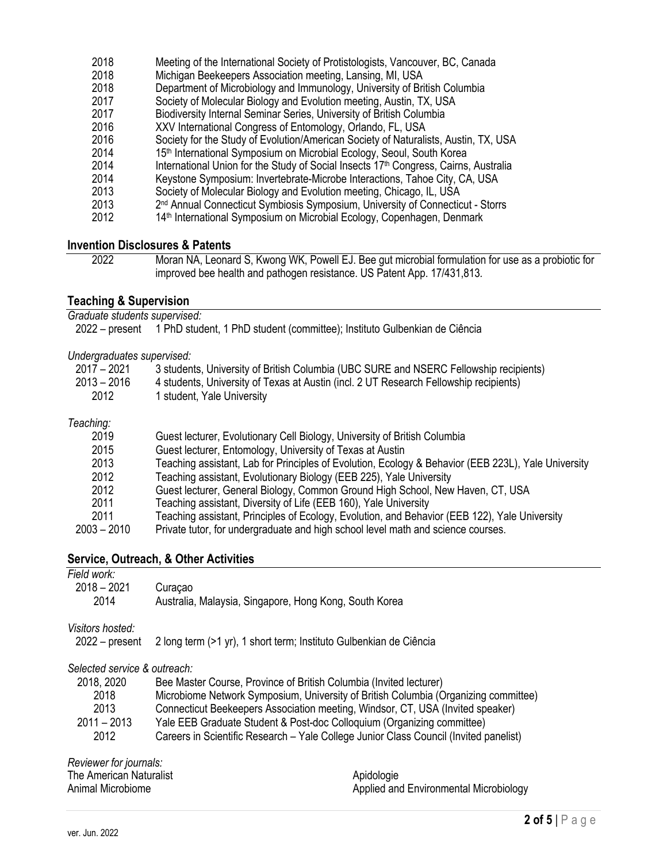| Meeting of the International Society of Protistologists, Vancouver, BC, Canada                   |
|--------------------------------------------------------------------------------------------------|
| Michigan Beekeepers Association meeting, Lansing, MI, USA                                        |
| Department of Microbiology and Immunology, University of British Columbia                        |
| Society of Molecular Biology and Evolution meeting, Austin, TX, USA                              |
| Biodiversity Internal Seminar Series, University of British Columbia                             |
| XXV International Congress of Entomology, Orlando, FL, USA                                       |
| Society for the Study of Evolution/American Society of Naturalists, Austin, TX, USA              |
| 15 <sup>th</sup> International Symposium on Microbial Ecology, Seoul, South Korea                |
| International Union for the Study of Social Insects 17 <sup>th</sup> Congress, Cairns, Australia |
| Keystone Symposium: Invertebrate-Microbe Interactions, Tahoe City, CA, USA                       |
| Society of Molecular Biology and Evolution meeting, Chicago, IL, USA                             |
| 2 <sup>nd</sup> Annual Connecticut Symbiosis Symposium, University of Connecticut - Storrs       |
| 14 <sup>th</sup> International Symposium on Microbial Ecology, Copenhagen, Denmark               |
|                                                                                                  |

### **Invention Disclosures & Patents**

| 2022 | Moran NA, Leonard S, Kwong WK, Powell EJ. Bee gut microbial formulation for use as a probiotic for |
|------|----------------------------------------------------------------------------------------------------|
|      | improved bee health and pathogen resistance. US Patent App. 17/431,813.                            |

#### **Teaching & Supervision**

*Graduate students supervised:*

|  |  |  |  | 2022 – present 1 PhD student, 1 PhD student (committee); Instituto Gulbenkian de Ciência |
|--|--|--|--|------------------------------------------------------------------------------------------|
|--|--|--|--|------------------------------------------------------------------------------------------|

## *Undergraduates supervised:*

| $2017 - 2021$ | 3 students, University of British Columbia (UBC SURE and NSERC Fellowship recipients) |
|---------------|---------------------------------------------------------------------------------------|
| $2013 - 2016$ | 4 students, University of Texas at Austin (incl. 2 UT Research Fellowship recipients) |
| 2012          | l student, Yale University                                                            |
|               |                                                                                       |

#### *Teaching:*

| 2019          | Guest lecturer, Evolutionary Cell Biology, University of British Columbia                           |
|---------------|-----------------------------------------------------------------------------------------------------|
| 2015          | Guest lecturer, Entomology, University of Texas at Austin                                           |
| 2013          | Teaching assistant, Lab for Principles of Evolution, Ecology & Behavior (EEB 223L), Yale University |
| 2012          | Teaching assistant, Evolutionary Biology (EEB 225), Yale University                                 |
| 2012          | Guest lecturer, General Biology, Common Ground High School, New Haven, CT, USA                      |
| 2011          | Teaching assistant, Diversity of Life (EEB 160), Yale University                                    |
| 2011          | Teaching assistant, Principles of Ecology, Evolution, and Behavior (EEB 122), Yale University       |
| $2003 - 2010$ | Private tutor, for undergraduate and high school level math and science courses.                    |
|               |                                                                                                     |

## **Service, Outreach, & Other Activities**

| Field work:                  |                                                                                       |
|------------------------------|---------------------------------------------------------------------------------------|
| $2018 - 2021$                | Curaçao                                                                               |
| 2014                         | Australia, Malaysia, Singapore, Hong Kong, South Korea                                |
| Visitors hosted:             |                                                                                       |
| $2022 - present$             | 2 long term (>1 yr), 1 short term; Instituto Gulbenkian de Ciência                    |
| Selected service & outreach: |                                                                                       |
| 2018, 2020                   | Bee Master Course, Province of British Columbia (Invited lecturer)                    |
| 2018                         | Microbiome Network Symposium, University of British Columbia (Organizing committee)   |
| 2013                         | Connecticut Beekeepers Association meeting, Windsor, CT, USA (Invited speaker)        |
| $2011 - 2013$                | Yale EEB Graduate Student & Post-doc Colloquium (Organizing committee)                |
| 2012                         | Careers in Scientific Research - Yale College Junior Class Council (Invited panelist) |
|                              |                                                                                       |

*Reviewer for journals:* The American Naturalist

| Animal Microbiome |
|-------------------|
|                   |

Apidologie Applied and Environmental Microbiology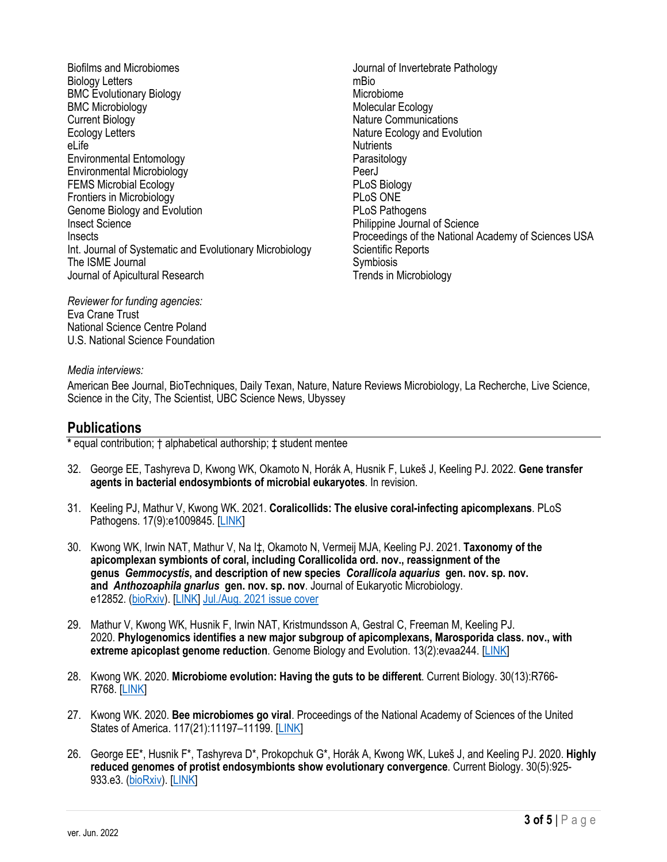Biofilms and Microbiomes Biology Letters BMC Evolutionary Biology BMC Microbiology Current Biology Ecology Letters eLife Environmental Entomology Environmental Microbiology FEMS Microbial Ecology Frontiers in Microbiology Genome Biology and Evolution Insect Science **Insects** Int. Journal of Systematic and Evolutionary Microbiology The ISME Journal Journal of Apicultural Research

Journal of Invertebrate Pathology mBio Microbiome Molecular Ecology Nature Communications Nature Ecology and Evolution **Nutrients** Parasitology PeerJ PLoS Biology PLoS ONE PLoS Pathogens Philippine Journal of Science Proceedings of the National Academy of Sciences USA Scientific Reports Symbiosis Trends in Microbiology

*Reviewer for funding agencies:* Eva Crane Trust National Science Centre Poland U.S. National Science Foundation

#### *Media interviews:*

American Bee Journal, BioTechniques, Daily Texan, Nature, Nature Reviews Microbiology, La Recherche, Live Science, Science in the City, The Scientist, UBC Science News, Ubyssey

## **Publications**

**\*** equal contribution; † alphabetical authorship; ‡ student mentee

- 32. George EE, Tashyreva D, Kwong WK, Okamoto N, Horák A, Husnik F, Lukeš J, Keeling PJ. 2022. **Gene transfer agents in bacterial endosymbionts of microbial eukaryotes**. In revision.
- 31. Keeling PJ, Mathur V, Kwong WK. 2021. **Coralicollids: The elusive coral-infecting apicomplexans**. PLoS Pathogens. 17(9):e1009845. [LINK]
- 30. Kwong WK, Irwin NAT, Mathur V, Na I‡, Okamoto N, Vermeij MJA, Keeling PJ. 2021. **Taxonomy of the apicomplexan symbionts of coral, including Corallicolida ord. nov., reassignment of the genus** *Gemmocystis***, and description of new species** *Corallicola aquarius* **gen. nov. sp. nov. and** *Anthozoaphila gnarlus* **gen. nov. sp. nov**. Journal of Eukaryotic Microbiology. e12852. (bioRxiv). [LINK] Jul./Aug. 2021 issue cover
- 29. Mathur V, Kwong WK, Husnik F, Irwin NAT, Kristmundsson A, Gestral C, Freeman M, Keeling PJ. 2020. **Phylogenomics identifies a new major subgroup of apicomplexans, Marosporida class. nov., with extreme apicoplast genome reduction**. Genome Biology and Evolution. 13(2):evaa244. [LINK]
- 28. Kwong WK. 2020. **Microbiome evolution: Having the guts to be different**. Current Biology. 30(13):R766- R768. [LINK]
- 27. Kwong WK. 2020. **Bee microbiomes go viral**. Proceedings of the National Academy of Sciences of the United States of America. 117(21):11197–11199. [LINK]
- 26. George EE\*, Husnik F\*, Tashyreva D\*, Prokopchuk G\*, Horák A, Kwong WK, Lukeš J, and Keeling PJ. 2020. **Highly reduced genomes of protist endosymbionts show evolutionary convergence**. Current Biology. 30(5):925- 933.e3. (bioRxiv). [LINK]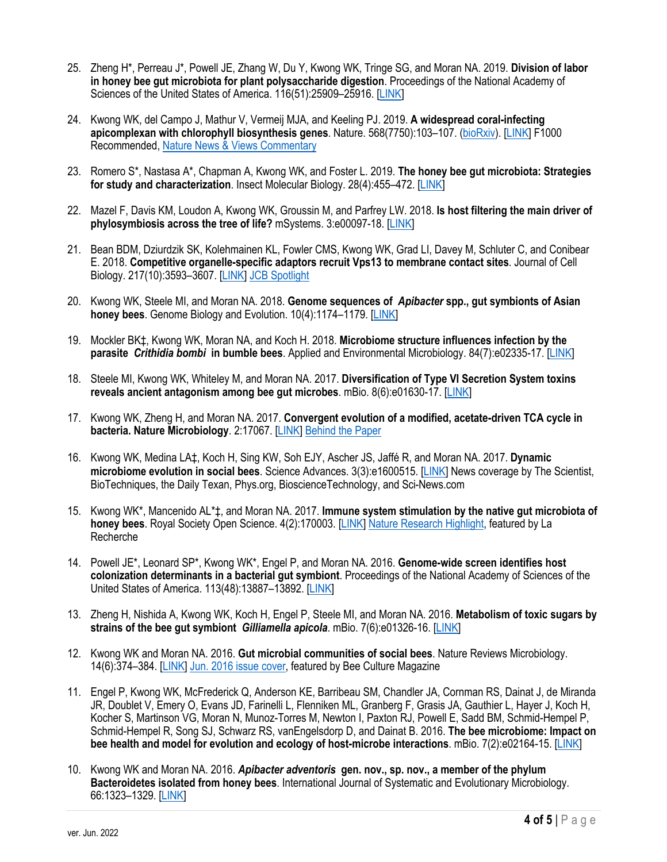- 25. Zheng H\*, Perreau J\*, Powell JE, Zhang W, Du Y, Kwong WK, Tringe SG, and Moran NA. 2019. **Division of labor in honey bee gut microbiota for plant polysaccharide digestion**. Proceedings of the National Academy of Sciences of the United States of America. 116(51):25909–25916. [LINK]
- 24. Kwong WK, del Campo J, Mathur V, Vermeij MJA, and Keeling PJ. 2019. **A widespread coral-infecting apicomplexan with chlorophyll biosynthesis genes**. Nature. 568(7750):103–107. (bioRxiv). [LINK] F1000 Recommended, Nature News & Views Commentary
- 23. Romero S\*, Nastasa A\*, Chapman A, Kwong WK, and Foster L. 2019. **The honey bee gut microbiota: Strategies for study and characterization**. Insect Molecular Biology. 28(4):455–472. [LINK]
- 22. Mazel F, Davis KM, Loudon A, Kwong WK, Groussin M, and Parfrey LW. 2018. **Is host filtering the main driver of phylosymbiosis across the tree of life?** mSystems. 3:e00097-18. [LINK]
- 21. Bean BDM, Dziurdzik SK, Kolehmainen KL, Fowler CMS, Kwong WK, Grad LI, Davey M, Schluter C, and Conibear E. 2018. **Competitive organelle-specific adaptors recruit Vps13 to membrane contact sites**. Journal of Cell Biology. 217(10):3593–3607. [LINK] JCB Spotlight
- 20. Kwong WK, Steele MI, and Moran NA. 2018. **Genome sequences of** *Apibacter* **spp., gut symbionts of Asian honey bees**. Genome Biology and Evolution. 10(4):1174–1179. [LINK]
- 19. Mockler BK‡, Kwong WK, Moran NA, and Koch H. 2018. **Microbiome structure influences infection by the parasite** *Crithidia bombi* **in bumble bees**. Applied and Environmental Microbiology. 84(7):e02335-17. [LINK]
- 18. Steele MI, Kwong WK, Whiteley M, and Moran NA. 2017. **Diversification of Type VI Secretion System toxins reveals ancient antagonism among bee gut microbes**. mBio. 8(6):e01630-17. [LINK]
- 17. Kwong WK, Zheng H, and Moran NA. 2017. **Convergent evolution of a modified, acetate-driven TCA cycle in bacteria. Nature Microbiology**. 2:17067. [LINK] Behind the Paper
- 16. Kwong WK, Medina LA‡, Koch H, Sing KW, Soh EJY, Ascher JS, Jaffé R, and Moran NA. 2017. **Dynamic microbiome evolution in social bees**. Science Advances. 3(3):e1600515. [LINK] News coverage by The Scientist, BioTechniques, the Daily Texan, Phys.org, BioscienceTechnology, and Sci-News.com
- 15. Kwong WK\*, Mancenido AL\*‡, and Moran NA. 2017. **Immune system stimulation by the native gut microbiota of honey bees**. Royal Society Open Science. 4(2):170003. [LINK] Nature Research Highlight, featured by La Recherche
- 14. Powell JE\*, Leonard SP\*, Kwong WK\*, Engel P, and Moran NA. 2016. **Genome-wide screen identifies host colonization determinants in a bacterial gut symbiont**. Proceedings of the National Academy of Sciences of the United States of America. 113(48):13887–13892. [LINK]
- 13. Zheng H, Nishida A, Kwong WK, Koch H, Engel P, Steele MI, and Moran NA. 2016. **Metabolism of toxic sugars by strains of the bee gut symbiont** *Gilliamella apicola*. mBio. 7(6):e01326-16. [LINK]
- 12. Kwong WK and Moran NA. 2016. **Gut microbial communities of social bees**. Nature Reviews Microbiology. 14(6):374–384. [LINK] Jun. 2016 issue cover, featured by Bee Culture Magazine
- 11. Engel P, Kwong WK, McFrederick Q, Anderson KE, Barribeau SM, Chandler JA, Cornman RS, Dainat J, de Miranda JR, Doublet V, Emery O, Evans JD, Farinelli L, Flenniken ML, Granberg F, Grasis JA, Gauthier L, Hayer J, Koch H, Kocher S, Martinson VG, Moran N, Munoz-Torres M, Newton I, Paxton RJ, Powell E, Sadd BM, Schmid-Hempel P, Schmid-Hempel R, Song SJ, Schwarz RS, vanEngelsdorp D, and Dainat B. 2016. **The bee microbiome: Impact on bee health and model for evolution and ecology of host-microbe interactions**. mBio. 7(2):e02164-15. [LINK]
- 10. Kwong WK and Moran NA. 2016. *Apibacter adventoris* **gen. nov., sp. nov., a member of the phylum Bacteroidetes isolated from honey bees**. International Journal of Systematic and Evolutionary Microbiology. 66:1323–1329. [LINK]